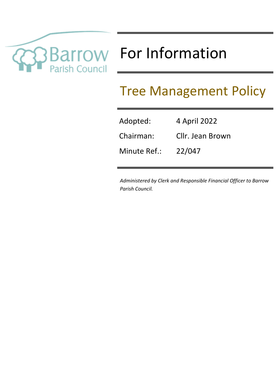

# TOW For Information

# Tree Management Policy

| Adopted:     | 4 April 2022     |
|--------------|------------------|
| Chairman:    | Cllr. Jean Brown |
| Minute Ref.: | 22/047           |

*Administered by Clerk and Responsible Financial Officer to Barrow Parish Council.*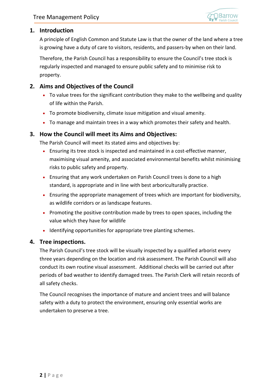

# **1. Introduction**

A principle of English Common and Statute Law is that the owner of the land where a tree is growing have a duty of care to visitors, residents, and passers-by when on their land.

Therefore, the Parish Council has a responsibility to ensure the Council's tree stock is regularly inspected and managed to ensure public safety and to minimise risk to property.

# **2. Aims and Objectives of the Council**

- To value trees for the significant contribution they make to the wellbeing and quality of life within the Parish.
- To promote biodiversity, climate issue mitigation and visual amenity.
- To manage and maintain trees in a way which promotes their safety and health.

# **3. How the Council will meet its Aims and Objectives:**

The Parish Council will meet its stated aims and objectives by:

- Ensuring its tree stock is inspected and maintained in a cost-effective manner, maximising visual amenity, and associated environmental benefits whilst minimising risks to public safety and property.
- Ensuring that any work undertaken on Parish Council trees is done to a high standard, is appropriate and in line with best arboriculturally practice.
- Ensuring the appropriate management of trees which are important for biodiversity, as wildlife corridors or as landscape features.
- Promoting the positive contribution made by trees to open spaces, including the value which they have for wildlife
- Identifying opportunities for appropriate tree planting schemes.

# **4. Tree inspections.**

The Parish Council's tree stock will be visually inspected by a qualified arborist every three years depending on the location and risk assessment. The Parish Council will also conduct its own routine visual assessment. Additional checks will be carried out after periods of bad weather to identify damaged trees. The Parish Clerk will retain records of all safety checks.

The Council recognises the importance of mature and ancient trees and will balance safety with a duty to protect the environment, ensuring only essential works are undertaken to preserve a tree.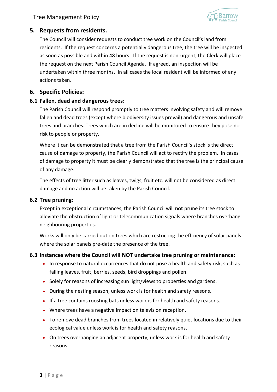

# **5. Requests from residents.**

The Council will consider requests to conduct tree work on the Council's land from residents. If the request concerns a potentially dangerous tree, the tree will be inspected as soon as possible and within 48 hours. If the request is non-urgent, the Clerk will place the request on the next Parish Council Agenda. If agreed, an inspection will be undertaken within three months. In all cases the local resident will be informed of any actions taken.

# **6. Specific Policies:**

# **6.1 Fallen, dead and dangerous trees:**

The Parish Council will respond promptly to tree matters involving safety and will remove fallen and dead trees (except where biodiversity issues prevail) and dangerous and unsafe trees and branches. Trees which are in decline will be monitored to ensure they pose no risk to people or property.

Where it can be demonstrated that a tree from the Parish Council's stock is the direct cause of damage to property, the Parish Council will act to rectify the problem. In cases of damage to property it must be clearly demonstrated that the tree is the principal cause of any damage.

The effects of tree litter such as leaves, twigs, fruit etc. will not be considered as direct damage and no action will be taken by the Parish Council.

#### **6.2 Tree pruning:**

Except in exceptional circumstances, the Parish Council will **not** prune its tree stock to alleviate the obstruction of light or telecommunication signals where branches overhang neighbouring properties.

Works will only be carried out on trees which are restricting the efficiency of solar panels where the solar panels pre-date the presence of the tree.

#### **6.3 Instances where the Council will NOT undertake tree pruning or maintenance:**

- In response to natural occurrences that do not pose a health and safety risk, such as falling leaves, fruit, berries, seeds, bird droppings and pollen.
- Solely for reasons of increasing sun light/views to properties and gardens.
- During the nesting season, unless work is for health and safety reasons.
- If a tree contains roosting bats unless work is for health and safety reasons.
- Where trees have a negative impact on television reception.
- To remove dead branches from trees located in relatively quiet locations due to their ecological value unless work is for health and safety reasons.
- On trees overhanging an adjacent property, unless work is for health and safety reasons.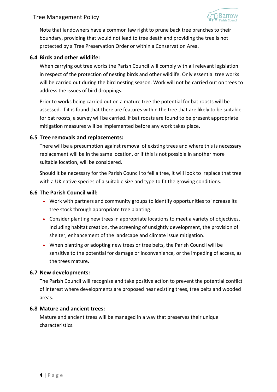

Note that landowners have a common law right to prune back tree branches to their boundary, providing that would not lead to tree death and providing the tree is not protected by a Tree Preservation Order or within a Conservation Area.

#### **6.4 Birds and other wildlife:**

When carrying out tree works the Parish Council will comply with all relevant legislation in respect of the protection of nesting birds and other wildlife. Only essential tree works will be carried out during the bird nesting season. Work will not be carried out on trees to address the issues of bird droppings.

Prior to works being carried out on a mature tree the potential for bat roosts will be assessed. If it is found that there are features within the tree that are likely to be suitable for bat roosts, a survey will be carried. If bat roosts are found to be present appropriate mitigation measures will be implemented before any work takes place.

#### **6.5 Tree removals and replacements:**

There will be a presumption against removal of existing trees and where this is necessary replacement will be in the same location, or if this is not possible in another more suitable location, will be considered.

Should it be necessary for the Parish Council to fell a tree, it will look to replace that tree with a UK native species of a suitable size and type to fit the growing conditions.

#### **6.6 The Parish Council will:**

- Work with partners and community groups to identify opportunities to increase its tree stock through appropriate tree planting.
- Consider planting new trees in appropriate locations to meet a variety of objectives, including habitat creation, the screening of unsightly development, the provision of shelter, enhancement of the landscape and climate issue mitigation.
- When planting or adopting new trees or tree belts, the Parish Council will be sensitive to the potential for damage or inconvenience, or the impeding of access, as the trees mature.

#### **6.7 New developments:**

The Parish Council will recognise and take positive action to prevent the potential conflict of interest where developments are proposed near existing trees, tree belts and wooded areas.

#### **6.8 Mature and ancient trees:**

Mature and ancient trees will be managed in a way that preserves their unique characteristics.